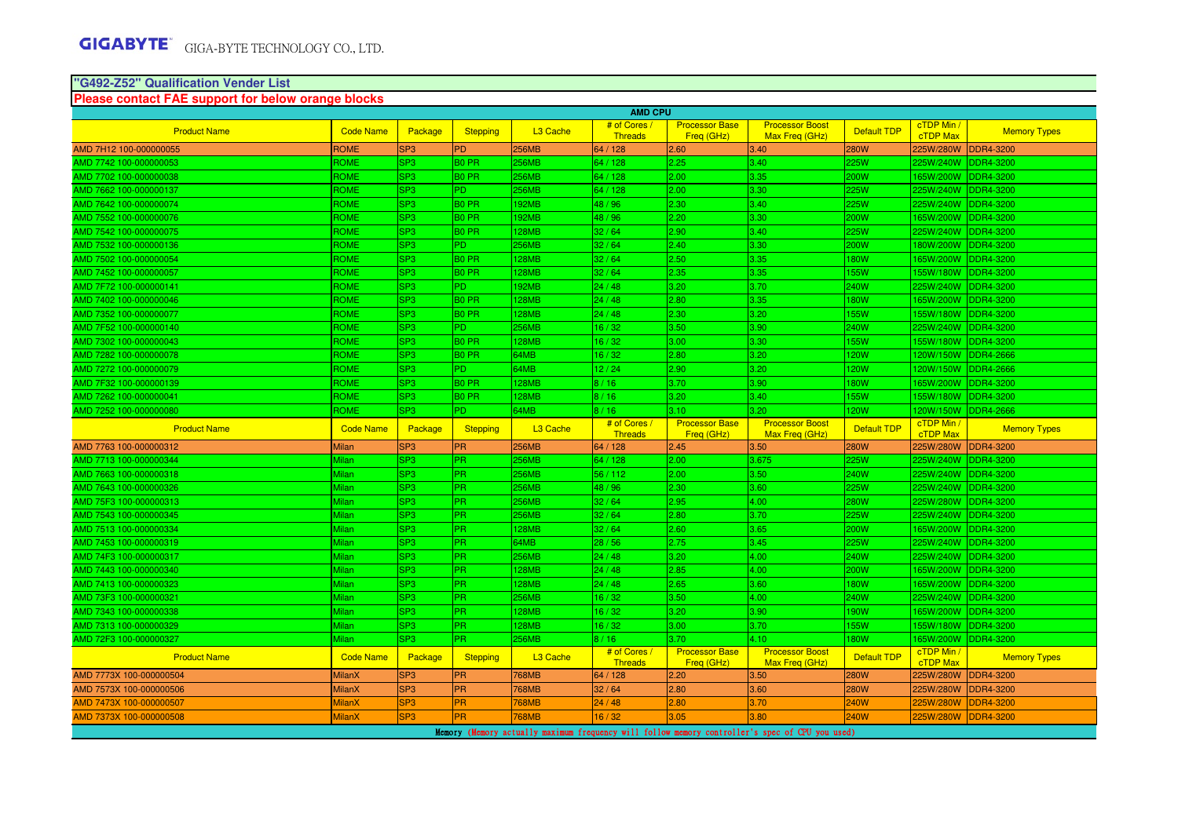#### **"G492-Z52" Qualification Vender ListPlease contact FAE support for below orange blocks**

|                                                  |                       |                 |                   |                      | <b>AMD CPU</b>                 |                                     |                                          |                    |                               |                     |
|--------------------------------------------------|-----------------------|-----------------|-------------------|----------------------|--------------------------------|-------------------------------------|------------------------------------------|--------------------|-------------------------------|---------------------|
| <b>Product Name</b>                              | <b>Code Name</b>      | Package         | <b>Stepping</b>   | L <sub>3</sub> Cache | # of Cores<br><b>Threads</b>   | <b>Processor Base</b><br>Freg (GHz) | <b>Processor Boost</b><br>Max Freq (GHz) | Default TDP        | cTDP Min /<br><b>cTDP Max</b> | <b>Memory Types</b> |
| AMD 7H12 100-000000055                           | <b>ROME</b>           | SP <sub>3</sub> | <b>PD</b>         | 256MB                | 64 / 128                       | 2.60                                | 3.40                                     | 280W               | 225W/280W                     | <b>DDR4-3200</b>    |
| AMD 7742 100-000000053                           | ROME                  | SP <sub>3</sub> | <b>BO PR</b>      | 256MB                | 64 / 128                       | 2.25                                | 3.40                                     | 225W               | 225W/240W                     | DDR4-3200           |
| AMD 7702 100-000000038                           | ROME                  | SP <sub>3</sub> | <b>BO PR</b>      | 256MB                | 64 / 128                       | 2.00                                | 3.35                                     | 200W               | 165W/200W                     | <b>DDR4-3200</b>    |
| AMD 7662 100-000000137                           | ROME                  | SP <sub>3</sub> | P <sub>D</sub>    | 256MB                | 64 / 128                       | 2.00                                | 3.30                                     | 225W               | 225W/240W                     | <b>DDR4-3200</b>    |
| AMD 7642 100-000000074                           | ROME                  | SP <sub>3</sub> | <b>BO PR</b>      | <b>192MB</b>         | 48/96                          | 2.30                                | 3.40                                     | 225W               | 225W/240W                     | <b>DDR4-3200</b>    |
| AMD 7552 100-000000076                           | ROME                  | SP <sub>3</sub> | <b>BO PR</b>      | <b>192MB</b>         | 48 / 96                        | 2.20                                | 3.30                                     | 200W               | 165W/200W                     | DDR4-3200           |
| AMD 7542 100-000000075                           | ROME                  | SP <sub>3</sub> | <b>BO PR</b>      | <b>128MB</b>         | 32/64                          | 2.90                                | 3.40                                     | 225W               | 225W/240W                     | <b>DDR4-3200</b>    |
| AMD 7532 100-000000136                           | <b>ROME</b>           | SP <sub>3</sub> | <b>PD</b>         | 256MB                | 32/64                          | 2.40                                | 3.30                                     | 200W               | 180W/200W                     | <b>DDR4-3200</b>    |
| AMD 7502 100-000000054                           | <b>ROME</b>           | SP <sub>3</sub> | B <sub>0</sub> PR | <b>128MB</b>         | 32/64                          | 2.50                                | 3.35                                     | 180W               | 165W/200W                     | <b>DDR4-3200</b>    |
| AMD 7452 100-000000057                           | ROME                  | SP <sub>3</sub> | <b>BO PR</b>      | 128MB                | 32/64                          | 2.35                                | 3.35                                     | <b>155W</b>        | 155W/180W                     | <b>DDR4-3200</b>    |
| AMD 7F72 100-000000141                           | ROME                  | SP <sub>3</sub> | P <sub>D</sub>    | <b>192MB</b>         | 24/48                          | 3.20                                | 3.70                                     | <b>240W</b>        | 225W/240W                     | <b>DDR4-3200</b>    |
| AMD 7402 100-000000046                           | ROME                  | SP <sub>3</sub> | <b>BO PR</b>      | 128MB                | 24/48                          | 2.80                                | 3.35                                     | <b>180W</b>        | 165W/200W                     | <b>DDR4-3200</b>    |
| AMD 7352 100-000000077                           | <b>ROME</b>           | SP <sub>3</sub> | <b>BO PR</b>      | <b>128MB</b>         | 24/48                          | 2.30                                | 3.20                                     | 155W               | 155W/180W                     | <b>DDR4-3200</b>    |
| AMD 7F52 100-000000140                           | ROME                  | SP <sub>3</sub> | P <sub>D</sub>    | 256MB                | 16/32                          | 3.50                                | 3.90                                     | <b>240W</b>        | 225W/240W                     | DDR4-3200           |
| AMD 7302 100-000000043                           | ROME                  | SP <sub>3</sub> | <b>BO PR</b>      | 128MB                | 16/32                          | 3.00                                | 3.30                                     | <b>155W</b>        | 155W/180W                     | <b>DDR4-3200</b>    |
| AMD 7282 100-000000078                           | <b>ROME</b>           | SP <sub>3</sub> | <b>BO PR</b>      | 64MB                 | 16/32                          | 2.80                                | 3.20                                     | <b>120W</b>        | 120W/150W                     | <b>DDR4-2666</b>    |
| AMD 7272 100-000000079                           | ROME                  | SP <sub>3</sub> | P <sub>D</sub>    | 64MB                 | 12/24                          | 2.90                                | 3.20                                     | 120W               | 120W/150W                     | <b>DDR4-2666</b>    |
| AMD 7F32 100-000000139                           | ROME                  | SP <sub>3</sub> | <b>BO PR</b>      | 28MB                 | 8/16                           | 3.70                                | 3.90                                     | 180W               | 65W/200W                      | <b>DDR4-3200</b>    |
| AMD 7262 100-000000041                           | ROME                  | SP <sub>3</sub> | <b>BO PR</b>      | 128MB                | 8/16                           | 3.20                                | 3.40                                     | <b>155W</b>        | 155W/180W                     | <b>DDR4-3200</b>    |
| AMD 7252 100-000000080                           | ROME                  | SP <sub>3</sub> | PD.               | 64MB                 | 8/16                           | 3.10                                | 3.20 <sub>1</sub>                        | 120W               | 120W/150W                     | <b>DDR4-2666</b>    |
|                                                  |                       |                 |                   |                      |                                |                                     |                                          |                    |                               |                     |
| <b>Product Name</b>                              | <b>Code Name</b>      | Package         | Stepping          | L <sub>3</sub> Cache | # of Cores /<br><b>Threads</b> | <b>Processor Base</b><br>Freg (GHz) | <b>Processor Boost</b><br>Max Freg (GHz) | Default TDP        | cTDP Min /<br>cTDP Max        | <b>Memory Types</b> |
| AMD 7763 100-000000312                           | Milan                 | SP <sub>3</sub> | <b>PR</b>         | 256MB                | 64 / 128                       | 2.45                                | 3.50                                     | 280W               | 225W/280W                     | <b>DDR4-3200</b>    |
| AMD 7713 100-000000344                           | Milan                 | SP <sub>3</sub> | PR.               | 256MB                | 64 / 128                       | 2.00                                | 3.675                                    | 225W               | 225W/240W                     | <b>DDR4-3200</b>    |
| AMD 7663 100-000000318                           | Milan                 | SP <sub>3</sub> | <b>PR</b>         | <b>256MB</b>         | 56/112                         | 2.00                                | 3.50                                     | 240W               | 225W/240W                     | DDR4-3200           |
| AMD 7643 100-000000326                           | Milan                 | SP <sub>3</sub> | <b>PR</b>         | 256MB                | 48 / 96                        | 2.30                                | 3.60                                     | 225W               | 225W/240W                     | DDR4-3200           |
| AMD 75F3 100-000000313                           | Milan                 | SP <sub>3</sub> | <b>PR</b>         | 256MB                | 32/64                          | 2.95                                | 4.00                                     | 280W               | 225W/280W                     | <b>DDR4-3200</b>    |
| AMD 7543 100-000000345                           |                       | SP <sub>3</sub> | PR.               | 256MB                | 32/64                          | 2.80                                | 3.70                                     | 225W               | 225W/240W                     | <b>DDR4-3200</b>    |
| AMD 7513 100-000000334                           | <b>Milan</b><br>Milan | SP <sub>3</sub> | <b>PR</b>         | <b>28MB</b>          | 32/64                          | 2.60                                | 3.65                                     | 200W               | 165W/200W                     | <b>DDR4-3200</b>    |
| AMD 7453 100-000000319                           | Milan                 | SP <sub>3</sub> | <b>PR</b>         | 64MB                 | 28 / 56                        | 2.75                                | 3.45                                     | 225W               | 225W/240W                     | <b>DDR4-3200</b>    |
| AMD 74F3 100-000000317                           | Milan                 | SP <sub>3</sub> | PR                | 256MB                | 24/48                          | 3.20                                | 4.00                                     | 240W               |                               | DDR4-3200           |
| AMD 7443 100-000000340                           | Milan                 | SP <sub>3</sub> | PR.               | 128MB                | 24/48                          | 2.85                                | 4.00                                     | <b>200W</b>        | 225W/240W<br>165W/200W        | <b>DDR4-3200</b>    |
| AMD 7413 100-000000323                           | Milan                 | SP <sub>3</sub> | <b>IPR</b>        | <b>128MB</b>         | 24/48                          | 2.65                                | 3.60                                     | <b>180W</b>        | 165W/200W                     | <b>DDR4-3200</b>    |
|                                                  | Milan                 | SP <sub>3</sub> | <b>PR</b>         | 256MB                | 16/32                          | 3.50                                | 4.00                                     | 240W               | 225W/240W                     | <b>DDR4-3200</b>    |
| AMD 73F3 100-000000321                           | Milan                 | SP <sub>3</sub> | <b>PR</b>         | 128MB                | 16/32                          | 3.20                                | 3.90                                     | 190W               | 65W/200W                      | <b>DDR4-3200</b>    |
| AMD 7343 100-000000338<br>AMD 7313 100-000000329 | Milan                 | SP <sub>3</sub> | PR.               | <b>128MB</b>         | 16/32                          | 3.00                                | 3.70                                     | <b>155W</b>        | 155W/180W                     | <b>DDR4-3200</b>    |
|                                                  | Milan                 | SP <sub>3</sub> | <b>PR</b>         | 256MB                | 8/16                           | 3.70                                | 4.10                                     | 180W               | 165W/200W                     | <b>DDR4-3200</b>    |
| AMD 72F3 100-000000327<br><b>Product Name</b>    | <b>Code Name</b>      | Package         | <b>Stepping</b>   | L <sub>3</sub> Cache | # of Cores /<br><b>Threads</b> | <b>Processor Base</b><br>Freq (GHz) | <b>Processor Boost</b><br>Max Freq (GHz) | <b>Default TDP</b> | cTDP Min /<br>cTDP Max        | <b>Memory Types</b> |
| AMD 7773X 100-000000504                          | <b>MilanX</b>         | SP <sub>3</sub> | <b>PR</b>         | 768MB                | 64 / 128                       | 2.20                                | 3.50                                     | 280W               | 225W/280W                     | DDR4-3200           |
| AMD 7573X 100-000000506                          | <b>MilanX</b>         | SP <sub>3</sub> | PR                | 768MB                | 32/64                          | 2.80                                | 3.60                                     | <b>280W</b>        | 225W/280W                     | <b>DDR4-3200</b>    |
| AMD 7473X 100-000000507                          | <b>MilanX</b>         | SP <sub>3</sub> | <b>PR</b>         | 68MB                 | 24/48                          | 2.80                                | 3.70                                     | 240W               | 225W/280W                     | DR4-3200            |
| AMD 7373X 100-000000508                          | <b>MilanX</b>         | SP <sub>3</sub> | <b>PR</b>         | <b>768MB</b>         | 16/32                          | 3.05                                | 3.80                                     | 240W               | 25W/280W                      | <b>DDR4-3200</b>    |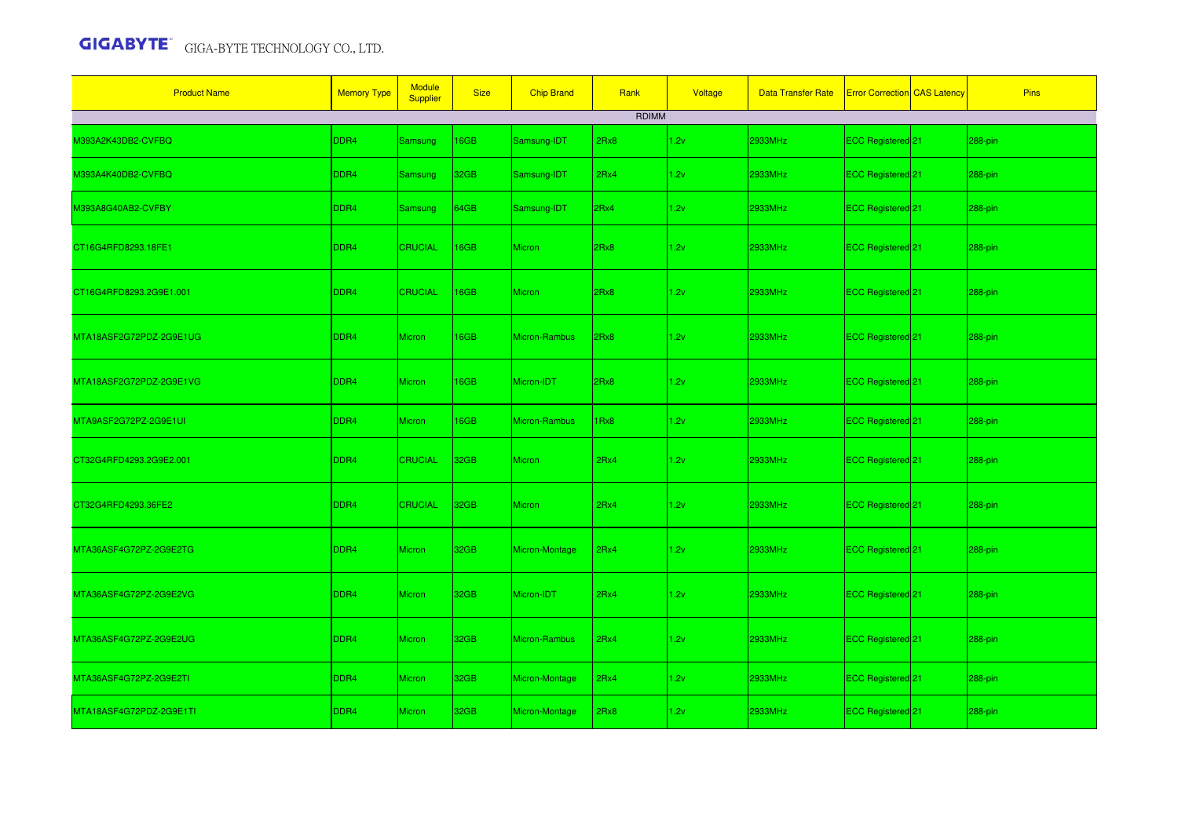| <b>Product Name</b>     | <b>Memory Type</b> | <b>Module</b><br>Supplier | <b>Size</b>      | <b>Chip Brand</b> | Rank         | Voltage | <b>Data Transfer Rate</b> | <b>Error Correction</b> CAS Latency | Pins    |
|-------------------------|--------------------|---------------------------|------------------|-------------------|--------------|---------|---------------------------|-------------------------------------|---------|
|                         |                    |                           |                  |                   | <b>RDIMM</b> |         |                           |                                     |         |
| M393A2K43DB2-CVFBQ      | DDR4               | Samsung                   | 16GB             | Samsung-IDT       | 2Rx8         | 1.2v    | 2933MHz                   | ECC Registered 21                   | 288-pin |
| M393A4K40DB2-CVFBQ      | DDR4               | Samsung                   | 32GB             | Samsung-IDT       | 2Rx4         | 1.2v    | 2933MHz                   | ECC Registered <sup>21</sup>        | 288-pin |
| M393A8G40AB2-CVFBY      | DDR4               | <b>Samsung</b>            | 64GB             | Samsung-IDT       | 2Rx4         | 1.2v    | 2933MHz                   | ECC Registered 21                   | 288-pin |
| CT16G4RFD8293.18FE1     | DDR4               | <b>CRUCIAL</b>            | 16GB             | <b>Micron</b>     | 2Rx8         | 1.2v    | 2933MHz                   | ECC Registered 21                   | 288-pin |
| CT16G4RFD8293.2G9E1.001 | DDR <sub>4</sub>   | <b>CRUCIAL</b>            | 16GB             | <b>Micron</b>     | 2Rx8         | 1.2v    | 2933MHz                   | ECC Registered 21                   | 288-pin |
| MTA18ASF2G72PDZ-2G9E1UG | DDR4               | Micron                    | 16GB             | Micron-Rambus     | 2Rx8         | 1.2v    | 2933MHz                   | ECC Registered 21                   | 288-pin |
| MTA18ASF2G72PDZ-2G9E1VG | DDR4               | Micron                    | 16GB             | Micron-IDT        | 2Rx8         | 1.2v    | 2933MHz                   | ECC Registered 21                   | 288-pin |
| MTA9ASF2G72PZ-2G9E1UI   | DDR4               | Micron                    | 16GB             | Micron-Rambus     | 1Rx8         | 1.2v    | 2933MHz                   | ECC Registered 21                   | 288-pin |
| CT32G4RFD4293.2G9E2.001 | DDR4               | <b>CRUCIAL</b>            | 32 <sub>GB</sub> | Micron            | 2Rx4         | 1.2v    | 2933MHz                   | ECC Registered <sup>21</sup>        | 288-pin |
| CT32G4RFD4293.36FE2     | DDR4               | <b>CRUCIAL</b>            | 32 <sub>GB</sub> | <b>Micron</b>     | 2Rx4         | 1.2v    | 2933MHz                   | ECC Registered 21                   | 288-pin |
| MTA36ASF4G72PZ-2G9E2TG  | DDR4               | Micron                    | 32GB             | Micron-Montage    | 2Rx4         | 1.2v    | 2933MHz                   | ECC Registered 21                   | 288-pin |
| MTA36ASF4G72PZ-2G9E2VG  | DDR4               | Micron                    | 32 <sub>GB</sub> | Micron-IDT        | 2Rx4         | 1.2v    | 2933MHz                   | ECC Registered 21                   | 288-pin |
| MTA36ASF4G72PZ-2G9E2UG  | DDR4               | Micron                    | 32 <sub>GB</sub> | Micron-Rambus     | 2Rx4         | 1.2v    | 2933MHz                   | ECC Registered 21                   | 288-pin |
| MTA36ASF4G72PZ-2G9E2TI  | DDR4               | Micron                    | 32 <sub>GB</sub> | Micron-Montage    | 2Rx4         | 1.2v    | 2933MHz                   | ECC Registered 21                   | 288-pin |
| MTA18ASF4G72PDZ-2G9E1TI | DDR4               | Micron                    | 32GB             | Micron-Montage    | 2Rx8         | 1.2v    | 2933MHz                   | ECC Registered 21                   | 288-pin |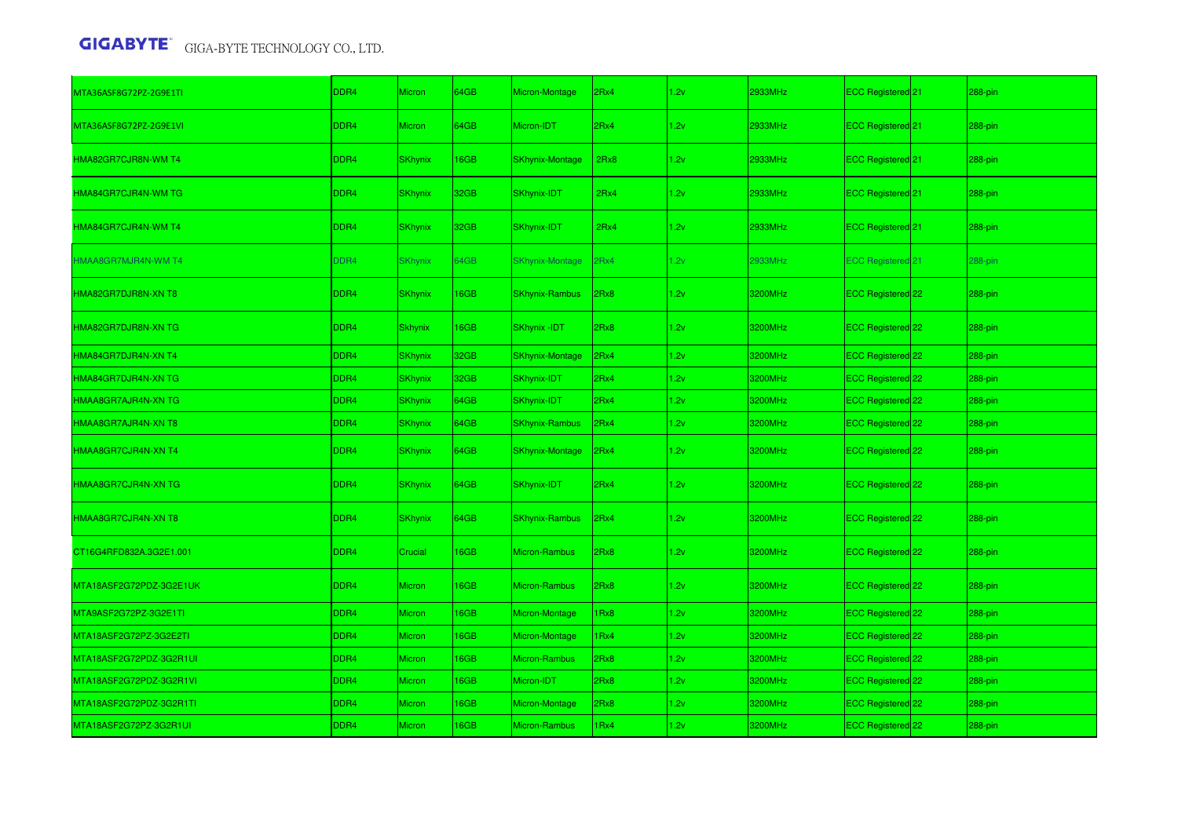| MTA36ASF8G72PZ-2G9E1TI     | DDR4 | <b>Micron</b>  | 64GB | Micron-Montage         | 2Rx4             | 1.2v | 2933MHz | ECC Registered 21            | 288-pin |
|----------------------------|------|----------------|------|------------------------|------------------|------|---------|------------------------------|---------|
| MTA36ASF8G72PZ-2G9E1VI     | DDR4 | <b>Micron</b>  | 64GB | Micron-IDT             | 2Rx4             | 1.2v | 2933MHz | ECC Registered 21            | 288-pin |
| HMA82GR7CJR8N-WM T4        | DDR4 | <b>SKhynix</b> | 16GB | <b>SKhynix-Montage</b> | 2Rx8             | 1.2v | 2933MHz | ECC Registered 21            | 288-pin |
| HMA84GR7CJR4N-WM TG        | DDR4 | <b>SKhynix</b> | 32GB | SKhynix-IDT            | 2Rx4             | 1.2v | 2933MHz | ECC Registered 21            | 288-pin |
| HMA84GR7CJR4N-WM T4        | DDR4 | <b>SKhynix</b> | 32GB | SKhynix-IDT            | 2Rx4             | 1.2v | 2933MHz | ECC Registered 21            | 288-pin |
| <b>HMAA8GR7MJR4N-WM T4</b> | DDR4 | <b>SKhynix</b> | 64GB | <b>SKhynix-Montage</b> | 2Rx4             | 1.2v | 2933MHz | ECC Registered 21            | 288-pin |
| HMA82GR7DJR8N-XN T8        | DDR4 | <b>SKhynix</b> | 16GB | <b>SKhynix-Rambus</b>  | 2Rx8             | 1.2v | 3200MHz | ECC Registered 22            | 288-pin |
| HMA82GR7DJR8N-XN TG        | DDR4 | <b>Skhynix</b> | 16GB | SKhynix -IDT           | 2Rx8             | 1.2v | 3200MHz | ECC Registered 22            | 288-pin |
| HMA84GR7DJR4N-XN T4        | DDR4 | <b>SKhynix</b> | 32GB | <b>SKhynix-Montage</b> | 2Rx4             | 1.2v | 3200MHz | ECC Registered 22            | 288-pin |
| HMA84GR7DJR4N-XN TG        | DDR4 | <b>SKhynix</b> | 32GB | SKhynix-IDT            | 2Rx4             | 1.2v | 3200MHz | ECC Registered 22            | 288-pin |
| HMAA8GR7AJR4N-XN TG        | DDR4 | <b>SKhynix</b> | 64GB | SKhynix-IDT            | 2Rx4             | 1.2v | 3200MHz | ECC Registered 22            | 288-pin |
| HMAA8GR7AJR4N-XN T8        | DDR4 | <b>SKhynix</b> | 64GB | <b>SKhynix-Rambus</b>  | 2Rx4             | 1.2v | 3200MHz | ECC Registered 22            | 288-pin |
| HMAA8GR7CJR4N-XN T4        | DDR4 | <b>SKhynix</b> | 64GB | <b>SKhynix-Montage</b> | 2Rx4             | 1.2v | 3200MHz | ECC Registered 22            | 288-pin |
| HMAA8GR7CJR4N-XN TG        | DDR4 | <b>SKhynix</b> | 64GB | SKhynix-IDT            | 2Rx4             | 1.2v | 3200MHz | ECC Registered <sup>22</sup> | 288-pin |
| HMAA8GR7CJR4N-XN T8        | DDR4 | <b>SKhynix</b> | 64GB | <b>SKhynix-Rambus</b>  | 2Rx4             | 1.2v | 3200MHz | ECC Registered 22            | 288-pin |
| CT16G4RFD832A.3G2E1.001    | DDR4 | Crucial        | 16GB | Micron-Rambus          | 2Rx8             | 1.2v | 3200MHz | ECC Registered <sup>22</sup> | 288-pin |
| MTA18ASF2G72PDZ-3G2E1UK    | DDR4 | Micron         | 16GB | Micron-Rambus          | 2Rx8             | 1.2v | 3200MHz | ECC Registered 22            | 288-pin |
| MTA9ASF2G72PZ-3G2E1TI      | DDR4 | Micron         | 16GB | Micron-Montage         | 1 <sub>Rx8</sub> | 1.2v | 3200MHz | ECC Registered 22            | 288-pin |
| MTA18ASF2G72PZ-3G2E2TI     | DDR4 | Micron         | 16GB | Micron-Montage         | 1Rx4             | 1.2v | 3200MHz | ECC Registered 22            | 288-pin |
| MTA18ASF2G72PDZ-3G2R1UI    | DDR4 | Micron         | 16GB | <b>Micron-Rambus</b>   | 2Rx8             | 1.2v | 3200MHz | ECC Registered 22            | 288-pin |
| MTA18ASF2G72PDZ-3G2R1VI    | DDR4 | Micron         | 16GB | Micron-IDT             | 2Rx8             | 1.2v | 3200MHz | ECC Registered 22            | 288-pin |
| MTA18ASF2G72PDZ-3G2R1TI    | DDR4 | Micron         | 16GB | Micron-Montage         | 2Rx8             | 1.2v | 3200MHz | ECC Registered 22            | 288-pin |
| MTA18ASF2G72PZ-3G2R1UI     | DDR4 | <b>Micron</b>  | 16GB | Micron-Rambus          | 1Rx4             | 1.2v | 3200MHz | ECC Registered 22            | 288-pin |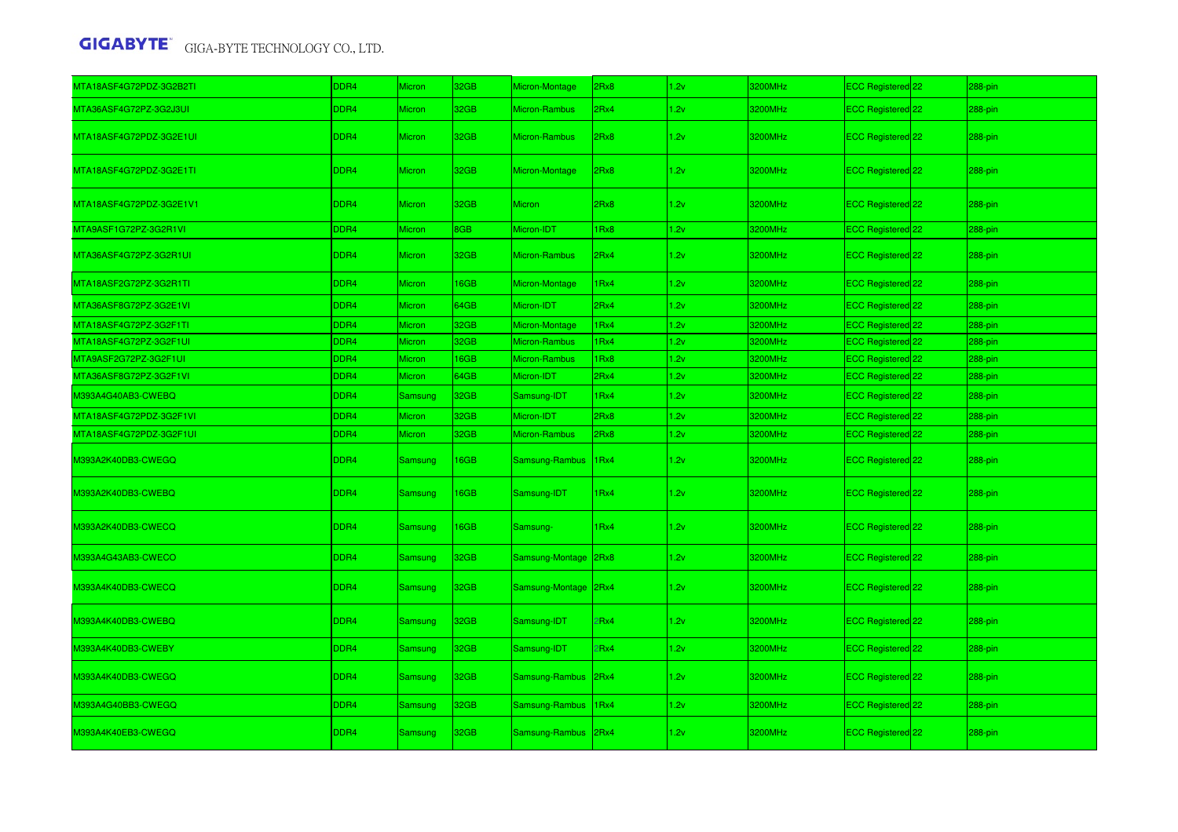| MTA18ASF4G72PDZ-3G2B2TI | DDR4             | <b>Micron</b>  | 32GB        | Micron-Montage       | 2Rx8             | 1.2v | 3200MHz | ECC Registered 22            | 288-pin   |
|-------------------------|------------------|----------------|-------------|----------------------|------------------|------|---------|------------------------------|-----------|
| MTA36ASF4G72PZ-3G2J3UI  | DDR4             | Micron         | 32GB        | Micron-Rambus        | 2Rx4             | 1.2v | 3200MHz | ECC Registered 22            | 288-pin   |
| MTA18ASF4G72PDZ-3G2E1UI | DDR4             | <b>Micron</b>  | 32GB        | Micron-Rambus        | 2Rx8             | 1.2v | 3200MHz | ECC Registered 22            | 288-pin   |
| MTA18ASF4G72PDZ-3G2E1TI | DDR <sub>4</sub> | <b>Micron</b>  | 32GB        | Micron-Montage       | 2Rx8             | 1.2v | 3200MHz | ECC Registered 22            | $288-pin$ |
| MTA18ASF4G72PDZ-3G2E1V1 | DDR4             | Micron         | 32GB        | Micron               | 2Rx8             | 1.2v | 3200MHz | ECC Registered 22            | 288-pin   |
| MTA9ASF1G72PZ-3G2R1VI   | DDR4             | <b>Micron</b>  | 8GB         | Micron-IDT           | Rx8              | 1.2v | 3200MHz | ECC Registered 22            | 288-pin   |
| MTA36ASF4G72PZ-3G2R1UI  | DDR4             | Micron         | 32GB        | Micron-Rambus        | 2Rx4             | 1.2v | 3200MHz | ECC Registered 22            | 288-pin   |
| MTA18ASF2G72PZ-3G2R1TI  | DDR4             | Micron         | 16GB        | Micron-Montage       | 1Rx4             | 1.2v | 3200MHz | ECC Registered 22            | 288-pin   |
| MTA36ASF8G72PZ-3G2E1VI  | DDR4             | Micron         | 64GB        | Micron-IDT           | 2Rx4             | 1.2v | 3200MHz | ECC Registered 22            | 288-pin   |
| MTA18ASF4G72PZ-3G2F1TI  | DDR <sub>4</sub> | <b>Micron</b>  | 32GB        | Micron-Montage       | 1 <sub>Rx4</sub> | 1.2v | 3200MHz | ECC Registered 22            | 288-pin   |
| MTA18ASF4G72PZ-3G2F1UI  | DDR <sub>4</sub> | Micron         | 32GB        | Micron-Rambus        | 1Rx4             | 1.2v | 3200MHz | ECC Registered 22            | 288-pin   |
| MTA9ASF2G72PZ-3G2F1UI   | DDR4             | <b>Micron</b>  | <b>6GB</b>  | Micron-Rambus        | Rx8              | 1.2v | 3200MHz | ECC Registered 22            | 288-pin   |
| MTA36ASF8G72PZ-3G2F1VI  | DDR <sub>4</sub> | Micron         | 64GB        | Micron-IDT           | 2Rx4             | 1.2v | 3200MHz | ECC Registered 22            | 288-pin   |
| M393A4G40AB3-CWEBQ      | DDR4             | Samsung        | 32GB        | Samsung-IDT          | 1Rx4             | 1.2v | 3200MHz | ECC Registered 22            | 288-pin   |
| MTA18ASF4G72PDZ-3G2F1VI | DDR4             | Micron         | 32GB        | Micron-IDT           | 2Rx8             | 1.2v | 3200MHz | ECC Registered 22            | 288-pin   |
| MTA18ASF4G72PDZ-3G2F1UI | DDR4             | <b>Micron</b>  | 32GB        | Micron-Rambus        | 2Rx8             | 1.2v | 3200MHz | ECC Registered 22            | 288-pin   |
| M393A2K40DB3-CWEGQ      | DDR <sub>4</sub> | Samsung        | 16GB        | Samsung-Rambus       | 1Rx4             | 1.2v | 3200MHz | ECC Registered 22            | 288-pin   |
| M393A2K40DB3-CWEBQ      | DDR4             | Samsung        | <b>I6GB</b> | Samsung-IDT          | 1Rx4             | 1.2v | 3200MHz | ECC Registered 22            | 288-pin   |
| M393A2K40DB3-CWECQ      | DDR4             | Samsung        | 16GB        | Samsung-             | 1Rx4             | 1.2v | 3200MHz | ECC Registered 22            | 288-pin   |
| M393A4G43AB3-CWECO      | DDR4             | Samsung        | 32GB        | Samsung-Montage      | 2Rx8             | 1.2v | 3200MHz | ECC Registered 22            | 288-pin   |
| M393A4K40DB3-CWECQ      | DDR4             | <b>Samsung</b> | 32GB        | Samsung-Montage 2Rx4 |                  | 1.2v | 3200MHz | ECC Registered 22            | 288-pin   |
| M393A4K40DB3-CWEBQ      | DDR <sub>4</sub> | <b>Samsung</b> | 32GB        | Samsung-IDT          | PRx4             | 1.2v | 3200MHz | ECC Registered 22            | 288-pin   |
| M393A4K40DB3-CWEBY      | DDR4             | Samsung        | 32GB        | Samsung-IDT          | Rx4              | 1.2v | 3200MHz | ECC Registered 22            | 288-pin   |
| M393A4K40DB3-CWEGQ      | DDR4             | Samsung        | 32GB        | Samsung-Rambus       | 2Rx4             | 1.2v | 3200MHz | ECC Registered <sup>22</sup> | 288-pin   |
| M393A4G40BB3-CWEGQ      | DDR4             | Samsung        | 32GB        | Samsung-Rambus       | 1 <sub>Rx4</sub> | 1.2v | 3200MHz | ECC Registered 22            | 288-pin   |
| M393A4K40EB3-CWEGQ      | DDR4             | <b>Samsung</b> | 32GB        | Samsung-Rambus       | 2Rx4             | 1.2v | 3200MHz | ECC Registered <sup>22</sup> | 288-pin   |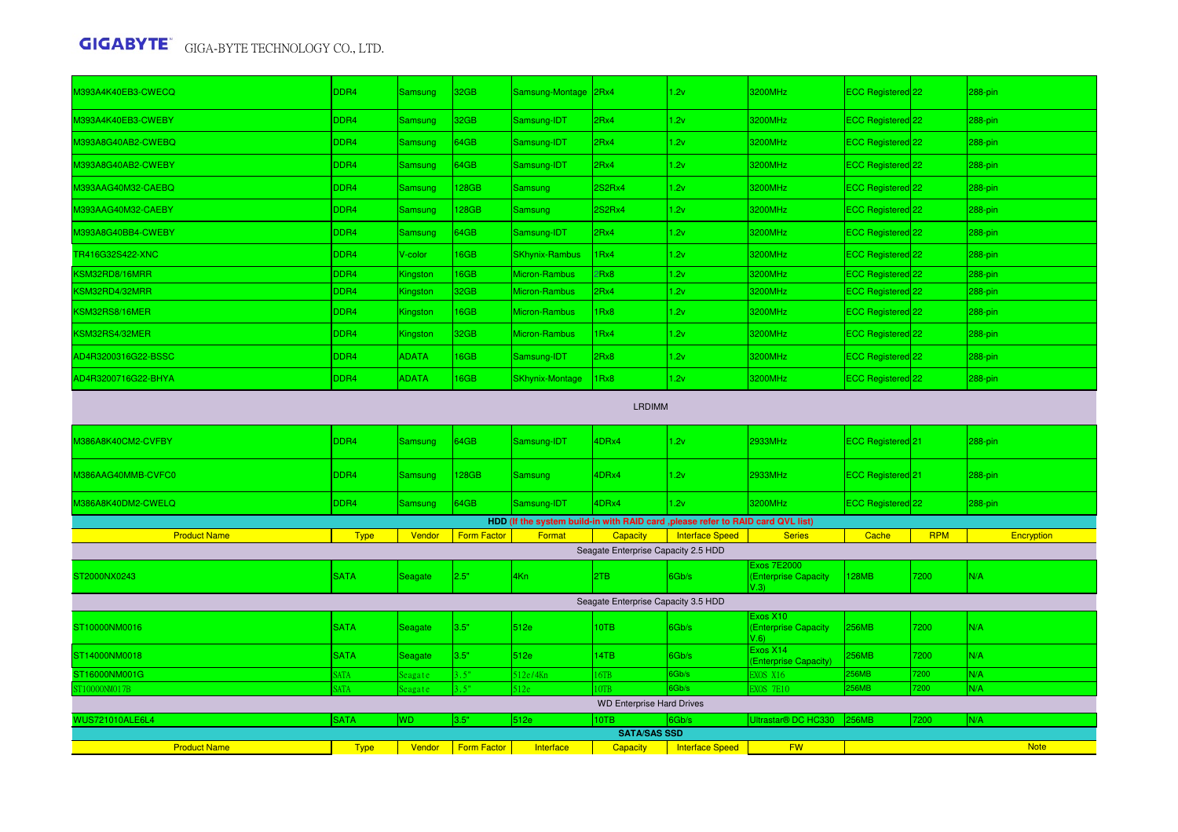| M393A4K40EB3-CWECQ     | DDR4        | Samsung        | 32 <sub>GB</sub>   | Samsung-Montage 2Rx4   |                                     | 1.2v                                                                             | 3200MHz                                          | ECC Registered <sup>22</sup>   |            | 288-pin     |  |  |
|------------------------|-------------|----------------|--------------------|------------------------|-------------------------------------|----------------------------------------------------------------------------------|--------------------------------------------------|--------------------------------|------------|-------------|--|--|
| M393A4K40EB3-CWEBY     | DDR4        | Samsung        | 32GB               | Samsung-IDT            | 2Rx4                                | 1.2v                                                                             | 3200MHz                                          | ECC Registered 22              |            | 288-pin     |  |  |
| M393A8G40AB2-CWEBQ     | DDR4        | <b>Samsung</b> | 64GB               | Samsung-IDT            | 2Rx4                                | 1.2v                                                                             | 3200MHz                                          | ECC Registered 22              |            | 288-pin     |  |  |
| M393A8G40AB2-CWEBY     | DDR4        | Samsung        | 64GB               | Samsung-IDT            | 2Rx4                                | 1.2v                                                                             | 3200MHz                                          | ECC Registered 22              |            | 288-pin     |  |  |
| M393AAG40M32-CAEBQ     | DDR4        | Samsung        | 128GB              | Samsung                | 2S2Rx4                              | 1.2v                                                                             | 3200MHz                                          | ECC Registered 22              |            | 288-pin     |  |  |
| M393AAG40M32-CAEBY     | DDR4        | Samsung        | 128GB              | Samsung                | 2S2Rx4                              | 1.2v                                                                             | 3200MHz                                          | ECC Registered 22              |            | 288-pin     |  |  |
| M393A8G40BB4-CWEBY     | DDR4        | Samsung        | 64GB               | Samsung-IDT            | 2Rx4                                | 1.2v                                                                             | 3200MHz                                          | ECC Registered 22              |            | 288-pin     |  |  |
| TR416G32S422-XNC       | DDR4        | V-color        | 16GB               | <b>SKhynix-Rambus</b>  | 1Rx4                                | 1.2v                                                                             | 3200MHz                                          | ECC Registered <sup>22</sup>   |            | 288-pin     |  |  |
| KSM32RD8/16MRR         | DDR4        | Kingston       | 16GB               | Micron-Rambus          | 2Rx8                                | 1.2v                                                                             | 3200MHz                                          | ECC Registered 22              |            | 288-pin     |  |  |
| KSM32RD4/32MRR         | DDR4        | Kingston       | 32GB               | Micron-Rambus          | 2Rx4                                | 1.2v                                                                             | 3200MHz                                          | ECC Registered 22              |            | 288-pin     |  |  |
| KSM32RS8/16MER         | DDR4        | Kingston       | 16GB               | Micron-Rambus          | 1Rx8                                | 1.2v                                                                             | 3200MHz                                          | ECC Registered 22              |            | 288-pin     |  |  |
| KSM32RS4/32MER         | DDR4        | Kingston       | 32GB               | Micron-Rambus          | 1Rx4                                | 1.2v                                                                             | 3200MHz                                          | ECC Registered 22              |            | 288-pin     |  |  |
| AD4R3200316G22-BSSC    | DDR4        | <b>ADATA</b>   | 16GB               | Samsung-IDT            | 2Rx8                                | 1.2v                                                                             | 3200MHz                                          | ECC Registered 22              |            | 288-pin     |  |  |
| AD4R3200716G22-BHYA    | DDR4        | <b>ADATA</b>   | 16GB               | <b>SKhynix-Montage</b> | 1Rx8                                | 1.2v                                                                             | 3200MHz                                          | ECC Registered 22              |            | 288-pin     |  |  |
| <b>LRDIMM</b>          |             |                |                    |                        |                                     |                                                                                  |                                                  |                                |            |             |  |  |
| M386A8K40CM2-CVFBY     | DDR4        | Samsung        | 64GB               | Samsung-IDT            | 4DRx4                               | 1.2v                                                                             | 2933MHz                                          | ECC Registered <sup>1</sup> 21 |            | 288-pin     |  |  |
| M386AAG40MMB-CVFC0     | DDR4        | Samsung        | 128GB              | Samsung                | 4DRx4                               | 1.2v                                                                             | 2933MHz                                          | ECC Registered 21              |            | $288-pin$   |  |  |
| M386A8K40DM2-CWELQ     | DDR4        | Samsung        | 64GB               | Samsung-IDT            | 4DRx4                               | 1.2v                                                                             | 3200MHz                                          | ECC Registered 22              |            | 288-pin     |  |  |
|                        |             |                |                    |                        |                                     | HDD (If the system build-in with RAID card , please refer to RAID card QVL list) |                                                  |                                |            |             |  |  |
| <b>Product Name</b>    | <b>Type</b> | Vendor         | <b>Form Factor</b> | Format                 | <b>Capacity</b>                     | <b>Interface Speed</b>                                                           | <b>Series</b>                                    | Cache                          | <b>RPM</b> | Encryption  |  |  |
|                        |             |                |                    |                        | Seagate Enterprise Capacity 2.5 HDD |                                                                                  |                                                  |                                |            |             |  |  |
| ST2000NX0243           | <b>SATA</b> | Seagate        | 2.5"               | 4Kn                    | 2TB                                 | 6Gb/s                                                                            | Exos 7E2000<br><b>Enterprise Capacity</b><br>(3) | 128MB                          | 7200       | N/A         |  |  |
|                        |             |                |                    |                        | Seagate Enterprise Capacity 3.5 HDD |                                                                                  |                                                  |                                |            |             |  |  |
| ST10000NM0016          | <b>SATA</b> | Seagate        | 3.5"               | 512e                   | 10TB                                | 6Gb/s                                                                            | Exos X10<br><b>Enterprise Capacity</b><br>(6)    | <b>256MB</b>                   | 7200       | N/A         |  |  |
| ST14000NM0018          | <b>SATA</b> | Seagate        | 3.5"               | 512e                   | 14TB                                | 6Gb/s                                                                            | Exos X14<br><b>Enterprise Capacity)</b>          | 256MB                          | 7200       | N/A         |  |  |
| ST16000NM001G          | <b>SATA</b> | eagate         | 3.5"               | 512e/4Kn               | 16TB                                | 6Gb/s                                                                            | XOS X16                                          | <b>56MB</b>                    | 7200       | N/A         |  |  |
| ST10000NM017B          | <b>SATA</b> | Seagate        | 3.5"               | 512e                   | OTB                                 | 6Gb/s                                                                            | XOS 7E10                                         | <b>56MB</b>                    | 7200       | N/A         |  |  |
|                        |             |                |                    |                        | <b>WD Enterprise Hard Drives</b>    |                                                                                  |                                                  |                                |            |             |  |  |
| <b>WUS721010ALE6L4</b> | <b>SATA</b> | <b>WD</b>      | 3.5"               | 512e                   | 10TB                                | 6Gb/s                                                                            | Jitrastar <sup>®</sup> DC HC330                  | 256MB                          | 7200       | N/A         |  |  |
|                        |             |                |                    |                        | <b>SATA/SAS SSD</b>                 |                                                                                  |                                                  |                                |            |             |  |  |
| <b>Product Name</b>    | <b>Type</b> | Vendor         | <b>Form Factor</b> | Interface              | <b>Capacity</b>                     | <b>Interface Speed</b>                                                           | <b>FW</b>                                        |                                |            | <b>Note</b> |  |  |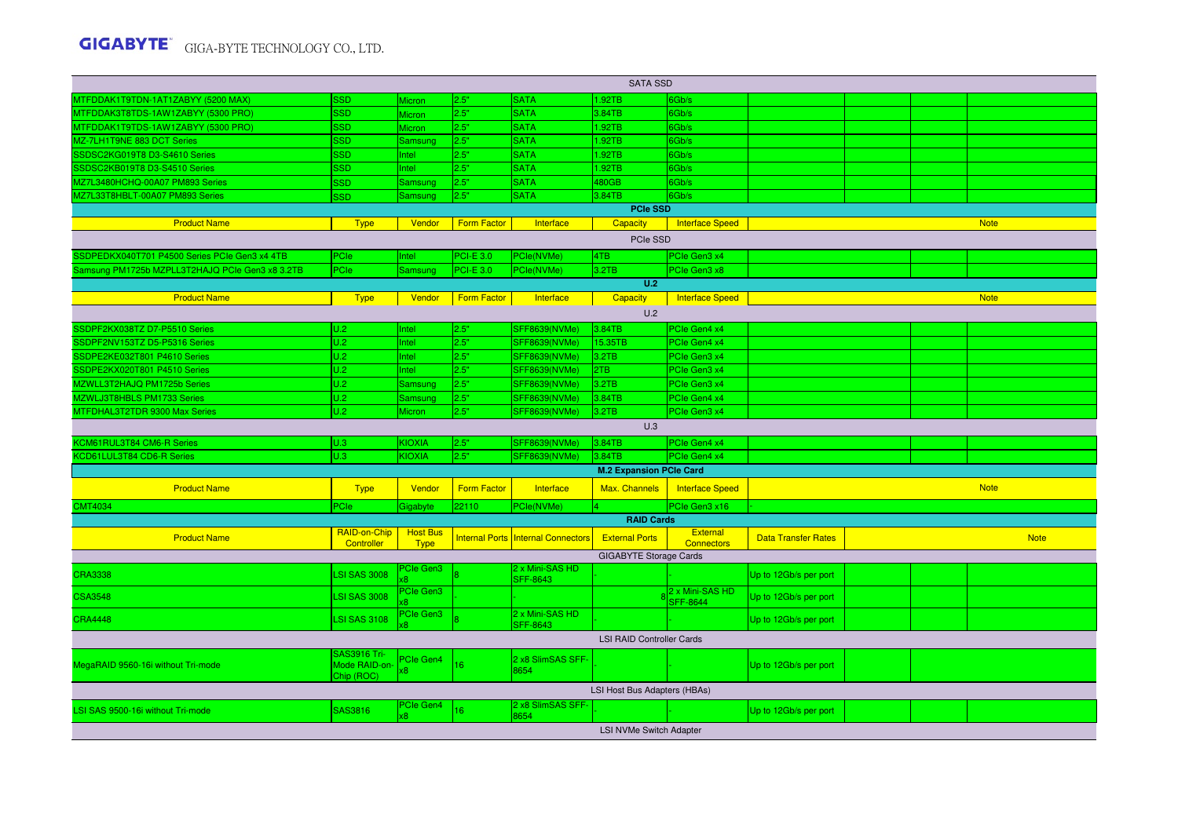|                                                 | <b>SATA SSD</b>            |                                |                    |                                           |                                  |                                      |                            |  |  |             |  |
|-------------------------------------------------|----------------------------|--------------------------------|--------------------|-------------------------------------------|----------------------------------|--------------------------------------|----------------------------|--|--|-------------|--|
| MTFDDAK1T9TDN-1AT1ZABYY (5200 MAX)              | <b>SSD</b>                 | Micron                         | 2.5"               | <b>SATA</b>                               | 1.92TB                           | 6Gb/s                                |                            |  |  |             |  |
| MTFDDAK3T8TDS-1AW1ZABYY (5300 PRO)              | <b>SSD</b>                 | Micron                         | 2.5"               | <b>SATA</b>                               | 3.84TB                           | 6Gb/s                                |                            |  |  |             |  |
| MTFDDAK1T9TDS-1AW1ZABYY (5300 PRO)              | SSD.                       | <b>Micron</b>                  | 2.5"               | <b>SATA</b>                               | 1.92TB                           | 6Gb/s                                |                            |  |  |             |  |
| MZ-7LH1T9NE 883 DCT Series                      | <b>SSD</b>                 | <b>Samsung</b>                 | 2.5"               | <b>SATA</b>                               | 1.92TB                           | 6Gb/s                                |                            |  |  |             |  |
| SSDSC2KG019T8 D3-S4610 Series                   | <b>SSD</b>                 | <b>Intel</b>                   | 2.5"               | <b>SATA</b>                               | 1.92TB                           | 6Gb/s                                |                            |  |  |             |  |
| SSDSC2KB019T8 D3-S4510 Series                   | <b>SSD</b>                 | Intel                          | 2.5"               | <b>SATA</b>                               | 1.92TB                           | 6Gb/s                                |                            |  |  |             |  |
| MZ7L3480HCHQ-00A07 PM893 Series                 | <b>SSD</b>                 | Samsung                        | 2.5"               | <b>SATA</b>                               | 480GB                            | 6Gb/s                                |                            |  |  |             |  |
| MZ7L33T8HBLT-00A07 PM893 Series                 | <b>SSD</b>                 | Samsung                        | 2.5"               | <b>SATA</b>                               | 3.84TB                           | 6Gb/s                                |                            |  |  |             |  |
|                                                 |                            |                                |                    |                                           | <b>PCIe SSD</b>                  |                                      |                            |  |  |             |  |
| <b>Product Name</b>                             | <b>Type</b>                | Vendor                         | <b>Form Factor</b> | Interface                                 | Capacity                         | <b>Interface Speed</b>               |                            |  |  | <b>Note</b> |  |
| PCIe SSD                                        |                            |                                |                    |                                           |                                  |                                      |                            |  |  |             |  |
| SSDPEDKX040T701 P4500 Series PCIe Gen3 x4 4TB   | PCIe                       | Intel                          | <b>PCI-E 3.0</b>   | PCIe(NVMe)                                | 4TB                              | PCIe Gen3 x4                         |                            |  |  |             |  |
| Samsung PM1725b MZPLL3T2HAJQ PCIe Gen3 x8 3.2TB | PCle                       | Samsung                        | <b>PCI-E 3.0</b>   | PCIe(NVMe)                                | 3.2TB                            | PCIe Gen3 x8                         |                            |  |  |             |  |
|                                                 |                            |                                |                    |                                           | U.2                              |                                      |                            |  |  |             |  |
| <b>Product Name</b>                             | <b>Type</b>                | Vendor                         | <b>Form Factor</b> | Interface                                 | Capacity                         | <b>Interface Speed</b>               |                            |  |  | <b>Note</b> |  |
|                                                 |                            |                                |                    |                                           | U.2                              |                                      |                            |  |  |             |  |
| SSDPF2KX038TZ D7-P5510 Series                   | U.2                        | Intel                          | 2.5"               | SFF8639(NVMe)                             | 3.84TB                           | PCIe Gen4 x4                         |                            |  |  |             |  |
| SSDPF2NV153TZ D5-P5316 Series                   | U.2                        | Intel                          | 2.5"               | SFF8639(NVMe)                             | 15.35TB                          | PCIe Gen4 x4                         |                            |  |  |             |  |
| SSDPE2KE032T801 P4610 Series                    | U.2                        | Intel                          | 2.5"               | SFF8639(NVMe)                             | 3.2TB                            | PCIe Gen3 x4                         |                            |  |  |             |  |
| SSDPE2KX020T801 P4510 Series                    | U.2                        | Intel                          | 2.5"               | SFF8639(NVMe)                             | 2TB                              | PCIe Gen3 x4                         |                            |  |  |             |  |
| MZWLL3T2HAJQ PM1725b Series                     | U.2                        | Samsung                        | 2.5"               | SFF8639(NVMe)                             | 3.2TB                            | PCIe Gen3 x4                         |                            |  |  |             |  |
| MZWLJ3T8HBLS PM1733 Series                      | U.2                        | Samsung                        | 2.5"               | SFF8639(NVMe)                             | 3.84TB                           | PCIe Gen4 x4                         |                            |  |  |             |  |
| MTFDHAL3T2TDR 9300 Max Series                   | U.2                        | Micron                         | 2.5"               | SFF8639(NVMe)                             | 3.2TB                            | PCIe Gen3 x4                         |                            |  |  |             |  |
|                                                 |                            |                                |                    |                                           | U.3                              |                                      |                            |  |  |             |  |
| KCM61RUL3T84 CM6-R Series                       | U.3                        | KIOXIA                         | 2.5"               | SFF8639(NVMe)                             | 3.84TB                           | PCIe Gen4 x4                         |                            |  |  |             |  |
| KCD61LUL3T84 CD6-R Series                       | U.3                        | KIOXIA                         | 2.5"               | SFF8639(NVMe)                             | 3.84TB                           | PCIe Gen4 x4                         |                            |  |  |             |  |
|                                                 |                            |                                |                    |                                           | <b>M.2 Expansion PCIe Card</b>   |                                      |                            |  |  |             |  |
| <b>Product Name</b>                             | <b>Type</b>                | Vendor                         | <b>Form Factor</b> | Interface                                 | Max. Channels                    | <b>Interface Speed</b>               |                            |  |  | <b>Note</b> |  |
| <b>CMT4034</b>                                  | PCle                       | Gigabyte                       | 22110              | <sup>P</sup> Cle(NVMe)                    |                                  | PCle Gen3 x16                        |                            |  |  |             |  |
|                                                 |                            |                                |                    |                                           | <b>RAID Cards</b>                |                                      |                            |  |  |             |  |
| <b>Product Name</b>                             | RAID-on-Chip<br>Controller | <b>Host Bus</b><br><b>Type</b> |                    | <b>Internal Ports Internal Connectors</b> | <b>External Ports</b>            | <b>External</b><br><b>Connectors</b> | <b>Data Transfer Rates</b> |  |  | <b>Note</b> |  |
|                                                 |                            |                                |                    |                                           | <b>GIGABYTE Storage Cards</b>    |                                      |                            |  |  |             |  |
| <b>CRA3338</b>                                  | <b>LSI SAS 3008</b>        | <b>Cle Gen3</b>                |                    | 2 x Mini-SAS HD                           |                                  |                                      |                            |  |  |             |  |
|                                                 |                            |                                |                    | SFF-8643                                  |                                  |                                      | Up to 12Gb/s per port      |  |  |             |  |
| <b>CSA3548</b>                                  | <b>LSI SAS 3008</b>        | <sup>2</sup> Cle Gen3          |                    |                                           |                                  | 2 x Mini-SAS HD<br><b>SFF-8644</b>   | Up to 12Gb/s per port      |  |  |             |  |
| <b>CRA4448</b>                                  | <b>LSI SAS 3108</b>        | Cle Gen3                       |                    | 2 x Mini-SAS HD<br><b>SFF-8643</b>        |                                  |                                      | Up to 12Gb/s per port      |  |  |             |  |
|                                                 |                            |                                |                    |                                           | <b>LSI RAID Controller Cards</b> |                                      |                            |  |  |             |  |
|                                                 | <b>SAS3916 Tri-</b>        | <b>Cle Gen4</b>                |                    | 2 x8 SlimSAS SFF-                         |                                  |                                      |                            |  |  |             |  |
| MegaRAID 9560-16i without Tri-mode              | Mode RAID-on-              | $\overline{8}$                 | 16                 | 8654                                      |                                  |                                      | Up to 12Gb/s per port      |  |  |             |  |
|                                                 | Chip (ROC)                 |                                |                    |                                           |                                  |                                      |                            |  |  |             |  |
|                                                 |                            |                                |                    |                                           | LSI Host Bus Adapters (HBAs)     |                                      |                            |  |  |             |  |
| LSI SAS 9500-16i without Tri-mode               | SAS3816                    | <sup>P</sup> Cle Gen4          | 16                 | 2 x8 SlimSAS SFF-<br>8654                 |                                  |                                      | Up to 12Gb/s per port      |  |  |             |  |
|                                                 |                            |                                |                    |                                           | LSI NVMe Switch Adapter          |                                      |                            |  |  |             |  |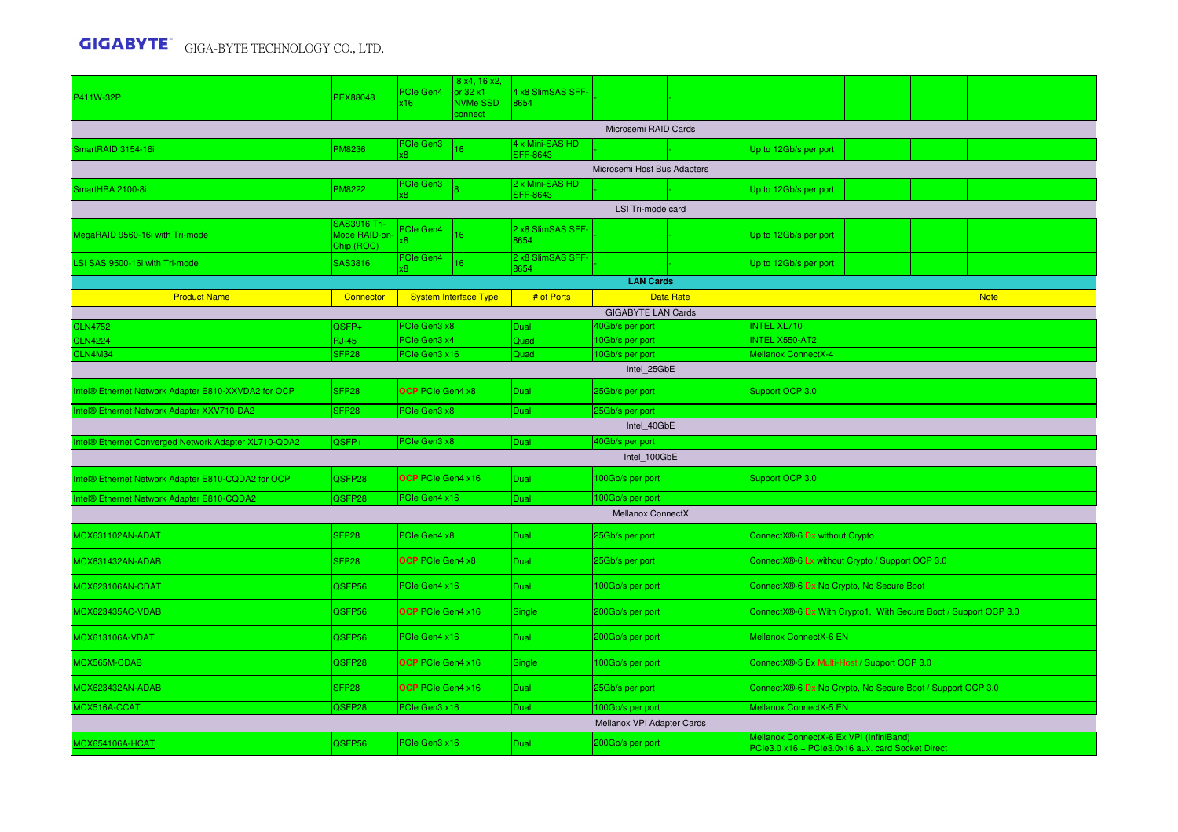| P411W-32P                                           | <b>PEX88048</b>                             | PCIe Gen4<br>x16             | 8 x4, 16 x2,<br>or 32 x1<br><b>NVMe SSD</b><br>connect | 4 x8 SlimSAS SFF-<br>8654          |                                    |                  |                                                                                             |  |  |             |  |  |  |
|-----------------------------------------------------|---------------------------------------------|------------------------------|--------------------------------------------------------|------------------------------------|------------------------------------|------------------|---------------------------------------------------------------------------------------------|--|--|-------------|--|--|--|
|                                                     |                                             |                              |                                                        |                                    | Microsemi RAID Cards               |                  |                                                                                             |  |  |             |  |  |  |
| SmartRAID 3154-16i                                  | PM8236                                      | <b>PCIe Gen3</b>             | 16                                                     | 4 x Mini-SAS HD<br><b>SFF-8643</b> |                                    |                  | Up to 12Gb/s per port                                                                       |  |  |             |  |  |  |
|                                                     |                                             |                              |                                                        |                                    | Microsemi Host Bus Adapters        |                  |                                                                                             |  |  |             |  |  |  |
| SmartHBA 2100-8i                                    | PM8222                                      | PCIe Gen3                    |                                                        | 2 x Mini-SAS HD<br><b>SFF-8643</b> |                                    |                  | Up to 12Gb/s per port                                                                       |  |  |             |  |  |  |
|                                                     |                                             |                              |                                                        |                                    | LSI Tri-mode card                  |                  |                                                                                             |  |  |             |  |  |  |
| MegaRAID 9560-16i with Tri-mode                     | SAS3916 Tri-<br>Mode RAID-on-<br>Chip (ROC) | <b>PCIe Gen4</b><br>x8       | 16                                                     | 2 x8 SlimSAS SFF-<br>8654          |                                    |                  | Up to 12Gb/s per port                                                                       |  |  |             |  |  |  |
| LSI SAS 9500-16i with Tri-mode                      | SAS3816                                     | PCIe Gen4                    | 16                                                     | 2 x8 SlimSAS SFF-<br>8654          |                                    |                  | Up to 12Gb/s per port                                                                       |  |  |             |  |  |  |
|                                                     |                                             |                              |                                                        |                                    | <b>LAN Cards</b>                   |                  |                                                                                             |  |  |             |  |  |  |
| <b>Product Name</b>                                 | Connector                                   |                              | <b>System Interface Type</b>                           | # of Ports                         |                                    | <b>Data Rate</b> |                                                                                             |  |  | <b>Note</b> |  |  |  |
|                                                     |                                             |                              |                                                        |                                    | <b>GIGABYTE LAN Cards</b>          |                  |                                                                                             |  |  |             |  |  |  |
| <b>CLN4752</b><br><b>CLN4224</b>                    | QSFP+<br><b>RJ-45</b>                       | PCIe Gen3 x8<br>PCIe Gen3 x4 |                                                        | Dual<br>Quad                       | 40Gb/s per port<br>10Gb/s per port |                  | <b>INTEL XL710</b><br><b>INTEL X550-AT2</b>                                                 |  |  |             |  |  |  |
| CLN4M34                                             | SFP <sub>28</sub>                           | PCIe Gen3 x16                |                                                        | Quad                               | 10Gb/s per port                    |                  | Mellanox ConnectX-4                                                                         |  |  |             |  |  |  |
|                                                     |                                             |                              |                                                        |                                    | Intel 25GbE                        |                  |                                                                                             |  |  |             |  |  |  |
| ntel® Ethernet Network Adapter E810-XXVDA2 for OCP  | SFP <sub>28</sub>                           | <b>OCP</b> PCIe Gen4 x8      |                                                        | Dual                               | 25Gb/s per port<br>Support OCP 3.0 |                  |                                                                                             |  |  |             |  |  |  |
| ntel® Ethernet Network Adapter XXV710-DA2           | SFP <sub>28</sub>                           | PCIe Gen3 x8                 |                                                        | Dual                               | 25Gb/s per port                    |                  |                                                                                             |  |  |             |  |  |  |
|                                                     |                                             |                              |                                                        |                                    | Intel 40GbE                        |                  |                                                                                             |  |  |             |  |  |  |
| ntel® Ethernet Converged Network Adapter XL710-QDA2 | $QSFP+$                                     | PCIe Gen3 x8                 |                                                        | Dual                               | 40Gb/s per port                    |                  |                                                                                             |  |  |             |  |  |  |
|                                                     |                                             |                              |                                                        |                                    | Intel_100GbE                       |                  |                                                                                             |  |  |             |  |  |  |
| ntel® Ethernet Network Adapter E810-CQDA2 for OCP   | QSFP28                                      | <b>OCP</b> PCIe Gen4 x16     |                                                        | Dual                               | 100Gb/s per port                   |                  | Support OCP 3.0                                                                             |  |  |             |  |  |  |
| ntel® Ethernet Network Adapter E810-CQDA2           | QSFP28                                      | PCIe Gen4 x16                |                                                        | Dual                               | 100Gb/s per port                   |                  |                                                                                             |  |  |             |  |  |  |
|                                                     |                                             |                              |                                                        |                                    | Mellanox ConnectX                  |                  |                                                                                             |  |  |             |  |  |  |
| <b>MCX631102AN-ADAT</b>                             | SFP <sub>28</sub>                           | PCIe Gen4 x8                 |                                                        | Dual                               | 25Gb/s per port                    |                  | ConnectX®-6 Dx without Crypto                                                               |  |  |             |  |  |  |
| MCX631432AN-ADAB                                    | SFP <sub>28</sub>                           | <b>OCP</b> PCIe Gen4 x8      |                                                        | Dual                               | 25Gb/s per port                    |                  | ConnectX®-6 Lx without Crypto / Support OCP 3.0                                             |  |  |             |  |  |  |
| MCX623106AN-CDAT                                    | QSFP56                                      | PCIe Gen4 x16                |                                                        | Dual                               | 100Gb/s per port                   |                  | ConnectX®-6 Dx No Crypto, No Secure Boot                                                    |  |  |             |  |  |  |
| MCX623435AC-VDAB                                    | QSFP56                                      | <b>OCP</b> PCIe Gen4 x16     |                                                        | Single                             | 200Gb/s per port                   |                  | ConnectX®-6 Dx With Crypto1, With Secure Boot / Support OCP 3.0                             |  |  |             |  |  |  |
| <b>MCX613106A-VDAT</b>                              | QSFP56                                      | PCIe Gen4 x16                |                                                        | <b>Dual</b>                        | 200Gb/s per port                   |                  | Mellanox ConnectX-6 EN                                                                      |  |  |             |  |  |  |
| MCX565M-CDAB                                        | QSFP28                                      | <b>OCP</b> PCIe Gen4 x16     |                                                        | Single                             | 100Gb/s per port                   |                  | ConnectX®-5 Ex Multi-Host / Support OCP 3.0                                                 |  |  |             |  |  |  |
| MCX623432AN-ADAB                                    | SFP <sub>28</sub>                           | <b>OCP</b> PCIe Gen4 x16     |                                                        | <b>Dual</b>                        | 25Gb/s per port                    |                  | ConnectX®-6 Dx No Crypto, No Secure Boot / Support OCP 3.0                                  |  |  |             |  |  |  |
| MCX516A-CCAT                                        | QSFP28                                      | PCIe Gen3 x16                |                                                        | Dual                               | 100Gb/s per port                   |                  | Mellanox ConnectX-5 EN                                                                      |  |  |             |  |  |  |
|                                                     |                                             |                              |                                                        |                                    | Mellanox VPI Adapter Cards         |                  |                                                                                             |  |  |             |  |  |  |
| <b>ACX654106A-HCAT</b>                              | QSFP56                                      | PCIe Gen3 x16                |                                                        | Dual                               | 200Gb/s per port                   |                  | Mellanox ConnectX-6 Ex VPI (InfiniBand)<br>PCle3.0 x16 + PCle3.0x16 aux. card Socket Direct |  |  |             |  |  |  |